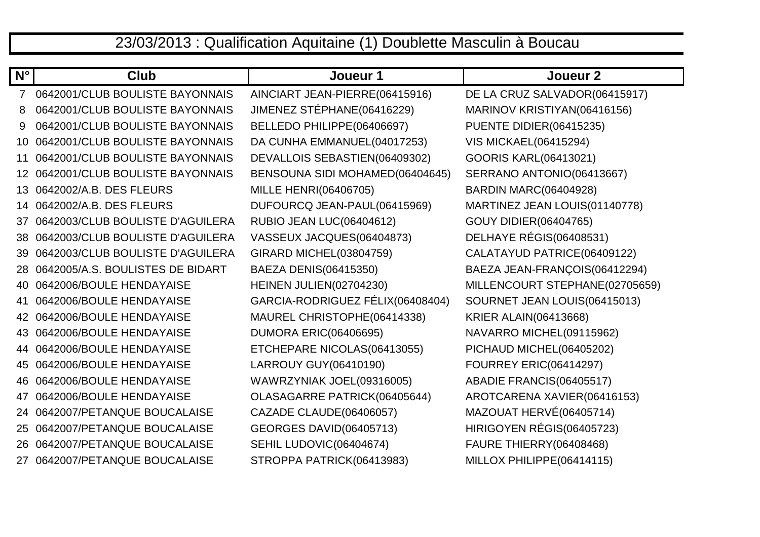## 23/03/2013 : Qualification Aquitaine (1) Doublette Masculin à Boucau

| $N^{\circ}$     | Club                             | Joueur 1                         | Joueur <sub>2</sub>            |
|-----------------|----------------------------------|----------------------------------|--------------------------------|
| $\overline{7}$  | 0642001/CLUB BOULISTE BAYONNAIS  | AINCIART JEAN-PIERRE(06415916)   | DE LA CRUZ SALVADOR(06415917)  |
| 8               | 0642001/CLUB BOULISTE BAYONNAIS  | JIMENEZ STÉPHANE(06416229)       | MARINOV KRISTIYAN(06416156)    |
| 9               | 0642001/CLUB BOULISTE BAYONNAIS  | BELLEDO PHILIPPE(06406697)       | PUENTE DIDIER(06415235)        |
| 10              | 0642001/CLUB BOULISTE BAYONNAIS  | DA CUNHA EMMANUEL(04017253)      | <b>VIS MICKAEL(06415294)</b>   |
| 11              | 0642001/CLUB BOULISTE BAYONNAIS  | DEVALLOIS SEBASTIEN(06409302)    | GOORIS KARL(06413021)          |
|                 | 0642001/CLUB BOULISTE BAYONNAIS  | BENSOUNA SIDI MOHAMED(06404645)  | SERRANO ANTONIO(06413667)      |
| 13 <sup>°</sup> | 0642002/A.B. DES FLEURS          | MILLE HENRI(06406705)            | <b>BARDIN MARC(06404928)</b>   |
| 14              | 0642002/A.B. DES FLEURS          | DUFOURCQ JEAN-PAUL(06415969)     | MARTINEZ JEAN LOUIS(01140778)  |
| 37              | 0642003/CLUB BOULISTE D'AGUILERA | <b>RUBIO JEAN LUC(06404612)</b>  | <b>GOUY DIDIER(06404765)</b>   |
| 38              | 0642003/CLUB BOULISTE D'AGUILERA | VASSEUX JACQUES(06404873)        | DELHAYE RÉGIS(06408531)        |
| 39              | 0642003/CLUB BOULISTE D'AGUILERA | GIRARD MICHEL(03804759)          | CALATAYUD PATRICE(06409122)    |
| 28              | 0642005/A.S. BOULISTES DE BIDART | BAEZA DENIS(06415350)            | BAEZA JEAN-FRANÇOIS(06412294)  |
| 40.             | 0642006/BOULE HENDAYAISE         | HEINEN JULIEN(02704230)          | MILLENCOURT STEPHANE(02705659) |
| 41              | 0642006/BOULE HENDAYAISE         | GARCIA-RODRIGUEZ FÉLIX(06408404) | SOURNET JEAN LOUIS(06415013)   |
| 42              | 0642006/BOULE HENDAYAISE         | MAUREL CHRISTOPHE(06414338)      | <b>KRIER ALAIN(06413668)</b>   |
| 43              | 0642006/BOULE HENDAYAISE         | <b>DUMORA ERIC(06406695)</b>     | NAVARRO MICHEL(09115962)       |
| 44              | 0642006/BOULE HENDAYAISE         | ETCHEPARE NICOLAS(06413055)      | PICHAUD MICHEL(06405202)       |
| 45              | 0642006/BOULE HENDAYAISE         | LARROUY GUY(06410190)            | <b>FOURREY ERIC(06414297)</b>  |
| 46.             | 0642006/BOULE HENDAYAISE         | WAWRZYNIAK JOEL(09316005)        | ABADIE FRANCIS(06405517)       |
| 47              | 0642006/BOULE HENDAYAISE         | OLASAGARRE PATRICK(06405644)     | AROTCARENA XAVIER(06416153)    |
| 24.             | 0642007/PETANQUE BOUCALAISE      | CAZADE CLAUDE(06406057)          | MAZOUAT HERVÉ(06405714)        |
| 25              | 0642007/PETANQUE BOUCALAISE      | <b>GEORGES DAVID(06405713)</b>   | HIRIGOYEN RÉGIS(06405723)      |
| 26.             | 0642007/PETANQUE BOUCALAISE      | SEHIL LUDOVIC(06404674)          | <b>FAURE THIERRY(06408468)</b> |
|                 | 27 0642007/PETANQUE BOUCALAISE   | STROPPA PATRICK(06413983)        | MILLOX PHILIPPE(06414115)      |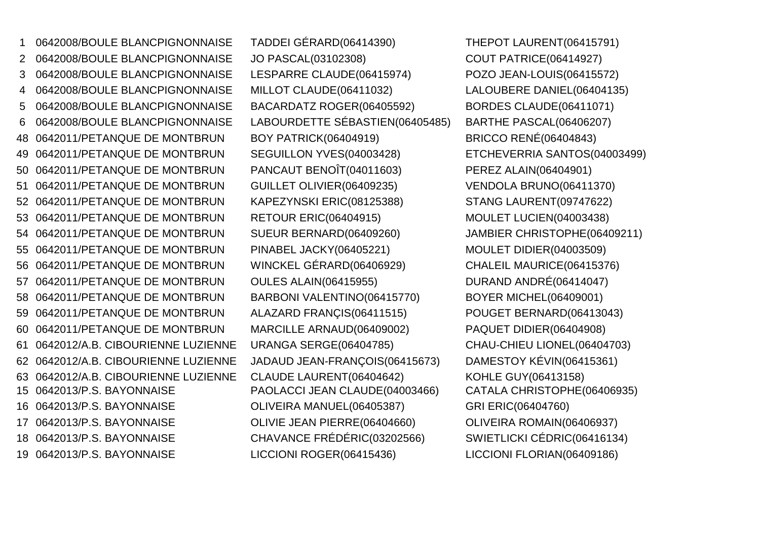0642008/BOULE BLANCPIGNONNAISE TADDEI GÉRARD(06414390) THEPOT LAURENT(06415791) 0642008/BOULE BLANCPIGNONNAISE JO PASCAL(03102308) COUT PATRICE(06414927) 0642008/BOULE BLANCPIGNONNAISE LESPARRE CLAUDE(06415974) POZO JEAN-LOUIS(06415572) 0642008/BOULE BLANCPIGNONNAISE MILLOT CLAUDE(06411032) LALOUBERE DANIEL(06404135) 0642008/BOULE BLANCPIGNONNAISE BACARDATZ ROGER(06405592) BORDES CLAUDE(06411071) 0642008/BOULE BLANCPIGNONNAISE LABOURDETTE SÉBASTIEN(06405485) BARTHE PASCAL(06406207) 0642011/PETANQUE DE MONTBRUN BOY PATRICK(06404919) 0642011/PETANQUE DE MONTBRUN SEGUILLON YVES(04003428) ETCHEVERRIA SANTOS(04003499) 0642011/PETANQUE DE MONTBRUN PANCAUT BENOÎT(04011603) PEREZ ALAIN(06404901) 0642011/PETANQUE DE MONTBRUN GUILLET OLIVIER(06409235) VENDOLA BRUNO(06411370)52 0642011/PETANQUE DE MONTBRUN KAPEZYNSKI ERIC(08125388) STANG LAURENT(09747622) 0642011/PETANQUE DE MONTBRUN RETOUR ERIC(06404915) 0642011/PETANQUE DE MONTBRUN SUEUR BERNARD(06409260) JAMBIER CHRISTOPHE(06409211)55 0642011/PETANQUE DE MONTBRUN PINABEL JACKY(06405221) MOULET DIDIER(04003509) 0642011/PETANQUE DE MONTBRUN WINCKEL GÉRARD(06406929) CHALEIL MAURICE(06415376) 0642011/PETANQUE DE MONTBRUN OULES ALAIN(06415955) 0642011/PETANQUE DE MONTBRUN BARBONI VALENTINO(06415770) BOYER MICHEL(06409001) 0642011/PETANQUE DE MONTBRUN ALAZARD FRANÇIS(06411515) POUGET BERNARD(06413043) 0642011/PETANQUE DE MONTBRUN MARCILLE ARNAUD(06409002) PAQUET DIDIER(06404908) 0642012/A.B. CIBOURIENNE LUZIENNE URANGA SERGE(06404785) CHAU-CHIEU LIONEL(06404703) 0642012/A.B. CIBOURIENNE LUZIENNE JADAUD JEAN-FRANÇOIS(06415673) DAMESTOY KÉVIN(06415361) 0642012/A.B. CIBOURIENNE LUZIENNE CLAUDE LAURENT(06404642) KOHLE GUY(06413158)15 0642013/P.S. BAYONNAISE PAOLACCI JEAN CLAUDE(04003466) 0642013/P.S. BAYONNAISE OLIVEIRA MANUEL(06405387) GRI ERIC(06404760) 0642013/P.S. BAYONNAISE OLIVIE JEAN PIERRE(06404660) OLIVEIRA ROMAIN(06406937) 0642013/P.S. BAYONNAISE CHAVANCE FRÉDÉRIC(03202566) SWIETLICKI CÉDRIC(06416134)0642013/P.S. BAYONNAISE LICCIONI ROGER(06415436) LICCIONI FLORIAN(06409186)

 BRICCO RENÉ(06404843) MOULET LUCIEN(04003438) DURAND ANDRÉ(06414047) CATALA CHRISTOPHE(06406935)